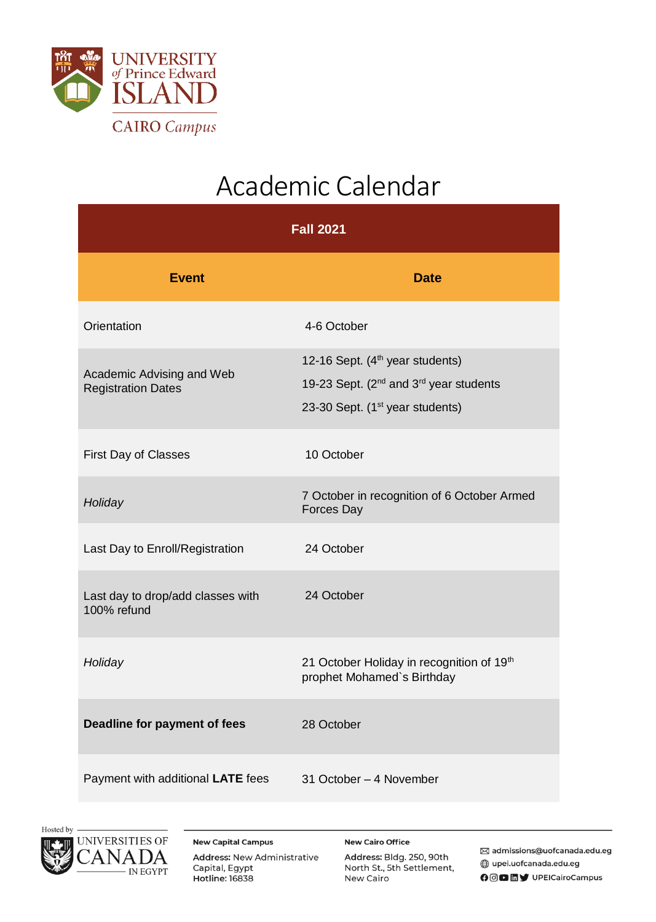

## Academic Calendar

| <b>Fall 2021</b>                                       |                                                                                                                                                              |  |
|--------------------------------------------------------|--------------------------------------------------------------------------------------------------------------------------------------------------------------|--|
| <b>Event</b>                                           | <b>Date</b>                                                                                                                                                  |  |
| Orientation                                            | 4-6 October                                                                                                                                                  |  |
| Academic Advising and Web<br><b>Registration Dates</b> | 12-16 Sept. (4 <sup>th</sup> year students)<br>19-23 Sept. (2 <sup>nd</sup> and 3 <sup>rd</sup> year students<br>23-30 Sept. (1 <sup>st</sup> year students) |  |
| <b>First Day of Classes</b>                            | 10 October                                                                                                                                                   |  |
| Holiday                                                | 7 October in recognition of 6 October Armed<br>Forces Day                                                                                                    |  |
| Last Day to Enroll/Registration                        | 24 October                                                                                                                                                   |  |
| Last day to drop/add classes with<br>100% refund       | 24 October                                                                                                                                                   |  |
| Holiday                                                | 21 October Holiday in recognition of 19th<br>prophet Mohamed's Birthday                                                                                      |  |
| Deadline for payment of fees                           | 28 October                                                                                                                                                   |  |
| Payment with additional LATE fees                      | 31 October - 4 November                                                                                                                                      |  |





**New Capital Campus** Address: New Administrative Capital, Egypt **Hotline: 16838** 

**New Cairo Office** Address: Bldg. 250, 90th North St., 5th Settlement, New Cairo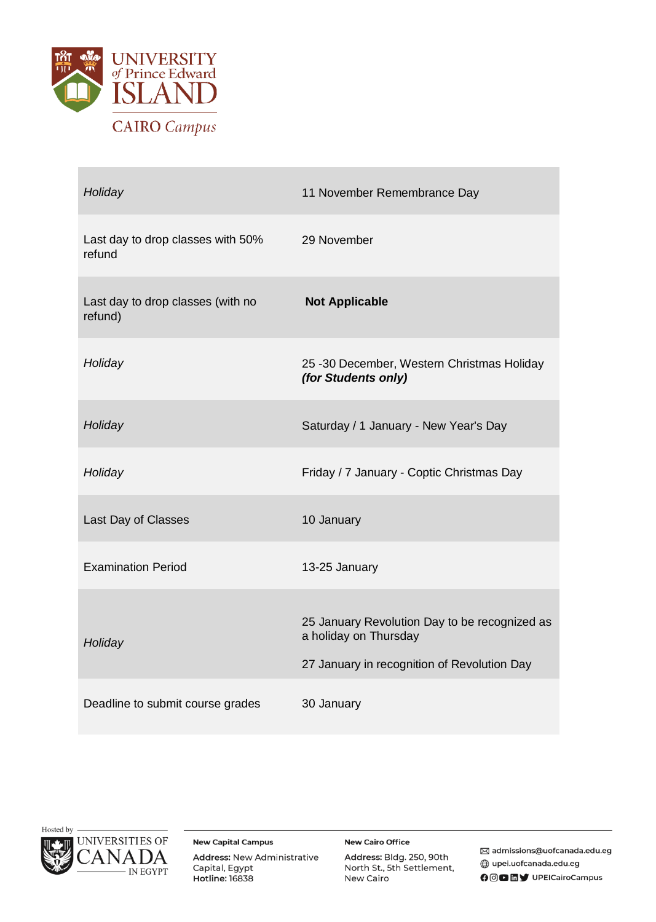

| Holiday                                      | 11 November Remembrance Day                                                                                           |
|----------------------------------------------|-----------------------------------------------------------------------------------------------------------------------|
| Last day to drop classes with 50%<br>refund  | 29 November                                                                                                           |
| Last day to drop classes (with no<br>refund) | <b>Not Applicable</b>                                                                                                 |
| Holiday                                      | 25 -30 December, Western Christmas Holiday<br>(for Students only)                                                     |
| Holiday                                      | Saturday / 1 January - New Year's Day                                                                                 |
| Holiday                                      | Friday / 7 January - Coptic Christmas Day                                                                             |
| Last Day of Classes                          | 10 January                                                                                                            |
| <b>Examination Period</b>                    | 13-25 January                                                                                                         |
| Holiday                                      | 25 January Revolution Day to be recognized as<br>a holiday on Thursday<br>27 January in recognition of Revolution Day |
| Deadline to submit course grades             | 30 January                                                                                                            |



**New Capital Campus** Address: New Administrative Capital, Egypt **Hotline: 16838** 

**New Cairo Office** 

Address: Bldg. 250, 90th North St., 5th Settlement, New Cairo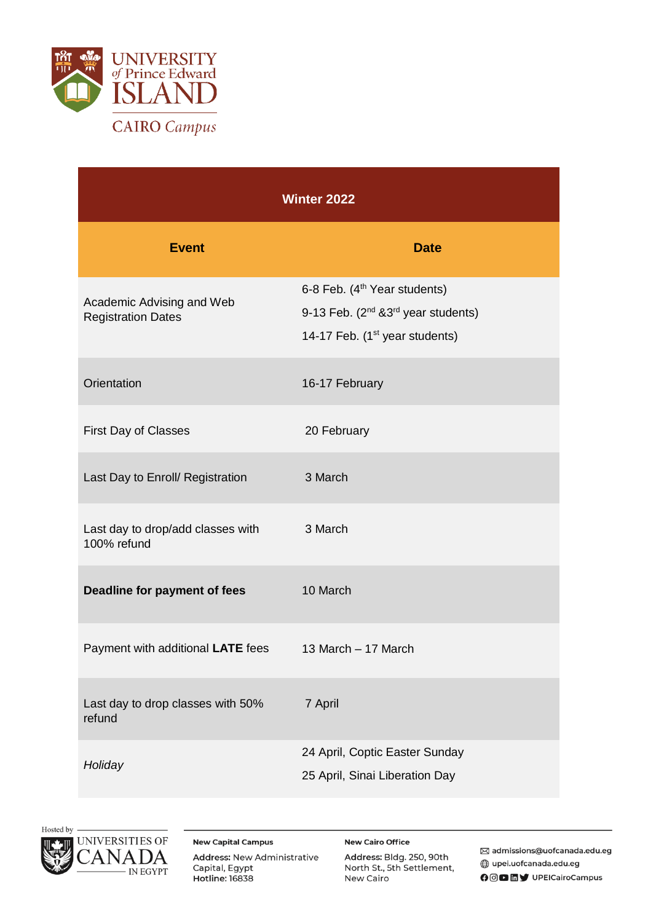

| <b>Winter 2022</b>                                     |                                                                                                                                                |  |
|--------------------------------------------------------|------------------------------------------------------------------------------------------------------------------------------------------------|--|
| <b>Event</b>                                           | <b>Date</b>                                                                                                                                    |  |
| Academic Advising and Web<br><b>Registration Dates</b> | 6-8 Feb. (4 <sup>th</sup> Year students)<br>9-13 Feb. $(2^{nd}$ & 3 <sup>rd</sup> year students)<br>14-17 Feb. (1 <sup>st</sup> year students) |  |
| Orientation                                            | 16-17 February                                                                                                                                 |  |
| First Day of Classes                                   | 20 February                                                                                                                                    |  |
| Last Day to Enroll/ Registration                       | 3 March                                                                                                                                        |  |
| Last day to drop/add classes with<br>100% refund       | 3 March                                                                                                                                        |  |
| Deadline for payment of fees                           | 10 March                                                                                                                                       |  |
| Payment with additional LATE fees                      | 13 March - 17 March                                                                                                                            |  |
| Last day to drop classes with 50%<br>refund            | 7 April                                                                                                                                        |  |
| Holiday                                                | 24 April, Coptic Easter Sunday<br>25 April, Sinai Liberation Day                                                                               |  |





**New Capital Campus** Address: New Administrative Capital, Egypt **Hotline: 16838** 

**New Cairo Office** Address: Bldg. 250, 90th North St., 5th Settlement, New Cairo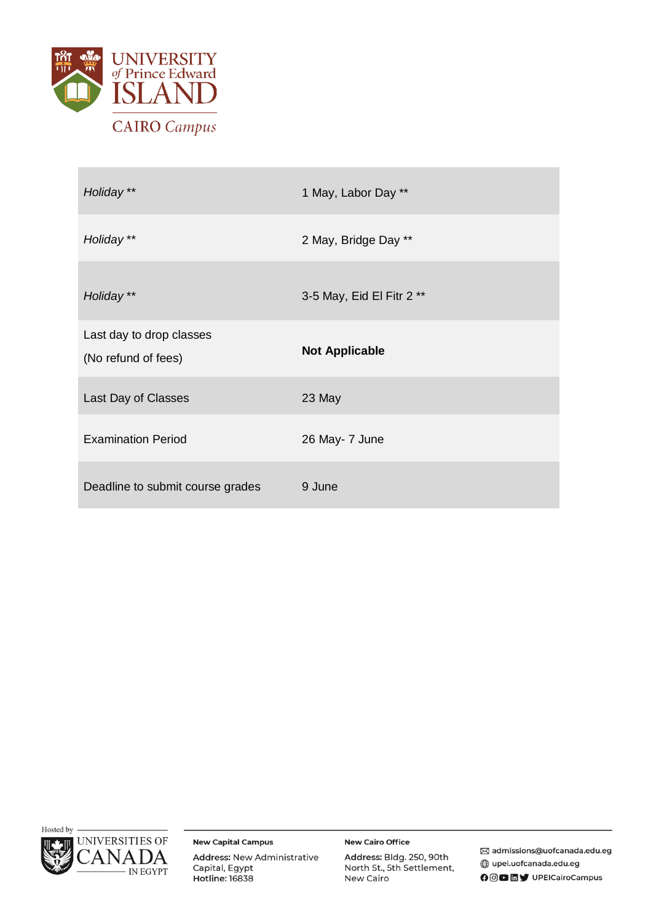

| Holiday **                                      | 1 May, Labor Day **       |
|-------------------------------------------------|---------------------------|
| Holiday **                                      | 2 May, Bridge Day **      |
| Holiday **                                      | 3-5 May, Eid El Fitr 2 ** |
| Last day to drop classes<br>(No refund of fees) | <b>Not Applicable</b>     |
| Last Day of Classes                             | 23 May                    |
| <b>Examination Period</b>                       | 26 May- 7 June            |
| Deadline to submit course grades                | 9 June                    |



**New Capital Campus** 

Address: New Administrative Capital, Egypt **Hotline: 16838** 

**New Cairo Office** 

Address: Bldg. 250, 90th North St., 5th Settlement, New Cairo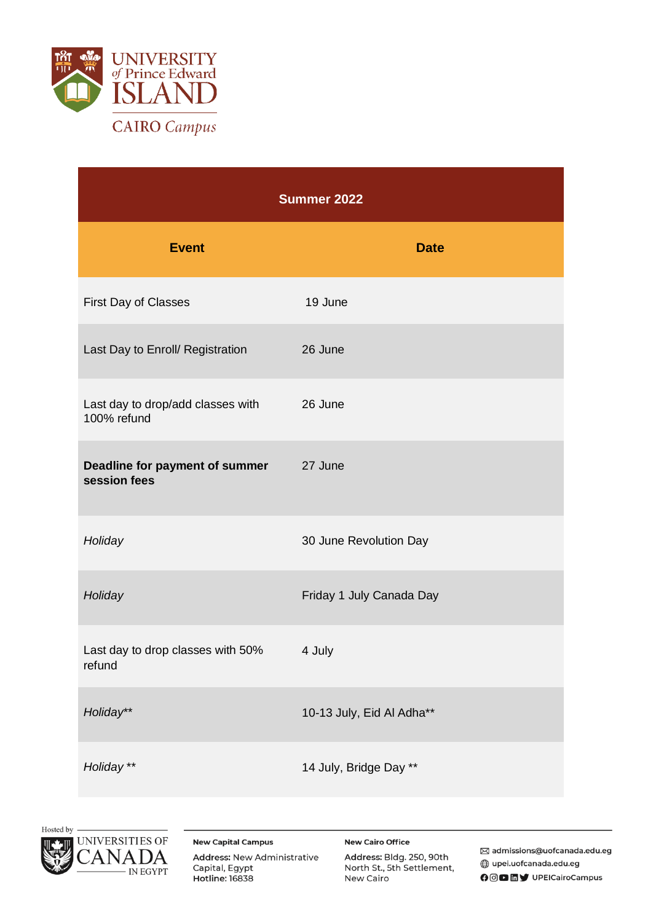

| Summer 2022                                      |                           |  |
|--------------------------------------------------|---------------------------|--|
| <b>Event</b>                                     | <b>Date</b>               |  |
| First Day of Classes                             | 19 June                   |  |
| Last Day to Enroll/ Registration                 | 26 June                   |  |
| Last day to drop/add classes with<br>100% refund | 26 June                   |  |
| Deadline for payment of summer<br>session fees   | 27 June                   |  |
| Holiday                                          | 30 June Revolution Day    |  |
| Holiday                                          | Friday 1 July Canada Day  |  |
| Last day to drop classes with 50%<br>refund      | 4 July                    |  |
| Holiday**                                        | 10-13 July, Eid Al Adha** |  |
| Holiday**                                        | 14 July, Bridge Day **    |  |





**New Capital Campus** Address: New Administrative Capital, Egypt **Hotline: 16838** 

**New Cairo Office** Address: Bldg. 250, 90th North St., 5th Settlement, New Cairo